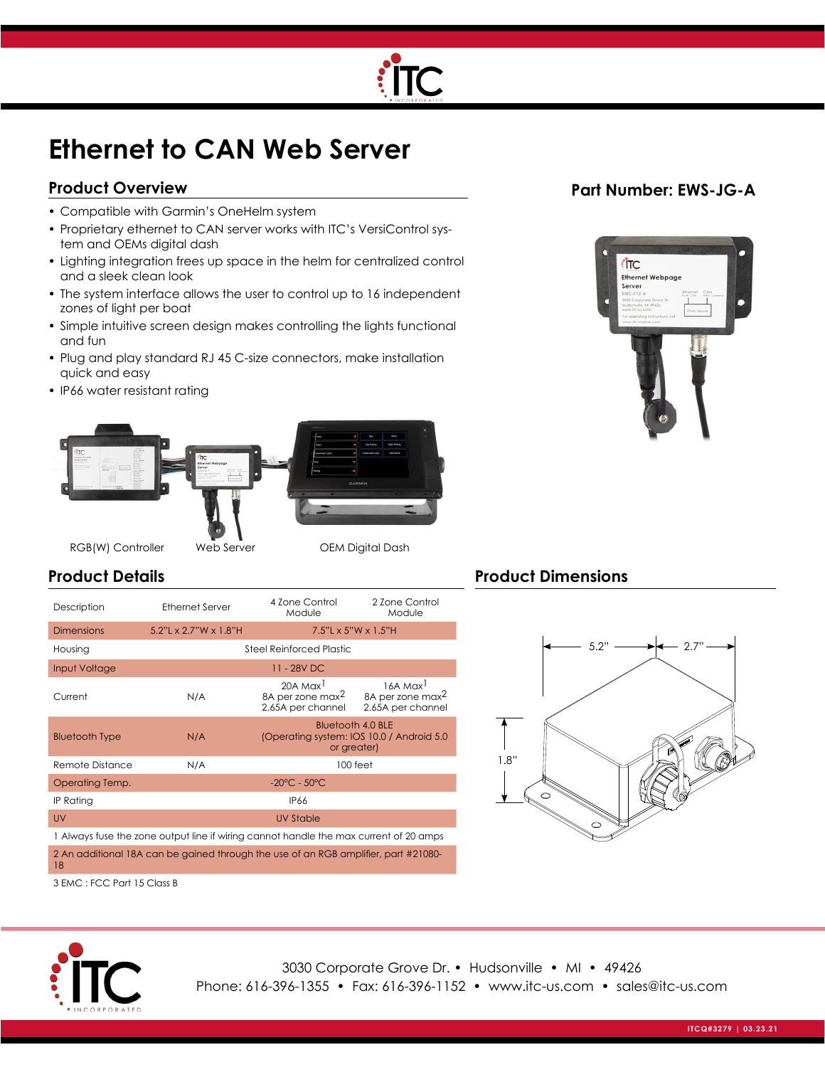

# **Ethernet to CAN Web Server**

## **Product Overview**

- Compatible with Garmin's OneHelm system
- Proprietary ethernet to CAN server works with ITC's VersiControl system and OEMs digital dash
- Lighting integration frees up space in the helm for centralized control and a sleek clean look
- The system interface allows the user to control up to 16 independent zones of light per boat
- Simple intuitive screen design makes controlling the lights functional and fun
- Plug and play standard RJ 45 C-size connectors, make installation quick and easy
- IP66 water resistant rating



#### RGB(W) Controller Web Server OEM Digital Dash

## **Product Details**

| Description                                                                               | <b>Ethernet Server</b>                                                                       | 4 Zone Control<br>Module                                                  | 2 Zone Control<br>Module                                                  |  |  |  |  |
|-------------------------------------------------------------------------------------------|----------------------------------------------------------------------------------------------|---------------------------------------------------------------------------|---------------------------------------------------------------------------|--|--|--|--|
| <b>Dimensions</b>                                                                         | $5.2"$ L x 2.7"W x 1.8"H                                                                     | $7.5"L \times 5"W \times 1.5"H$                                           |                                                                           |  |  |  |  |
| Housing                                                                                   | <b>Steel Reinforced Plastic</b>                                                              |                                                                           |                                                                           |  |  |  |  |
| Input Voltage                                                                             | 11 - 28V DC                                                                                  |                                                                           |                                                                           |  |  |  |  |
| Current                                                                                   | N/A                                                                                          | 20A Max <sup>1</sup><br>8A per zone max <sup>2</sup><br>2.65A per channel | 16A Max <sup>1</sup><br>8A per zone max <sup>2</sup><br>2.65A per channel |  |  |  |  |
| <b>Bluetooth Type</b>                                                                     | <b>Bluetooth 4.0 BLE</b><br>N/A<br>(Operating system: IOS 10.0 / Android 5.0)<br>or greater) |                                                                           |                                                                           |  |  |  |  |
| Remote Distance                                                                           | N/A<br>100 feet                                                                              |                                                                           |                                                                           |  |  |  |  |
| Operating Temp.                                                                           | $-20^{\circ}$ C - 50 $^{\circ}$ C                                                            |                                                                           |                                                                           |  |  |  |  |
| IP Rating                                                                                 | <b>IP66</b>                                                                                  |                                                                           |                                                                           |  |  |  |  |
| UV                                                                                        | UV Stable                                                                                    |                                                                           |                                                                           |  |  |  |  |
| 1 Always fuse the zone output line if wiring cannot handle the max current of 20 amps     |                                                                                              |                                                                           |                                                                           |  |  |  |  |
| 2 An additional 18A can be gained through the use of an RGB amplifier, part #21080-<br>18 |                                                                                              |                                                                           |                                                                           |  |  |  |  |

#### 3 EMC : FCC Part 15 Class B



3030 Corporate Grove Dr. • Hudsonville • MI • 49426 Phone: 616-396-1355 • Fax: 616-396-1152 • www.itc-us.com • sales@itc-us.com

## **Part Number: EWS-JG-A**



## **Product Dimensions**